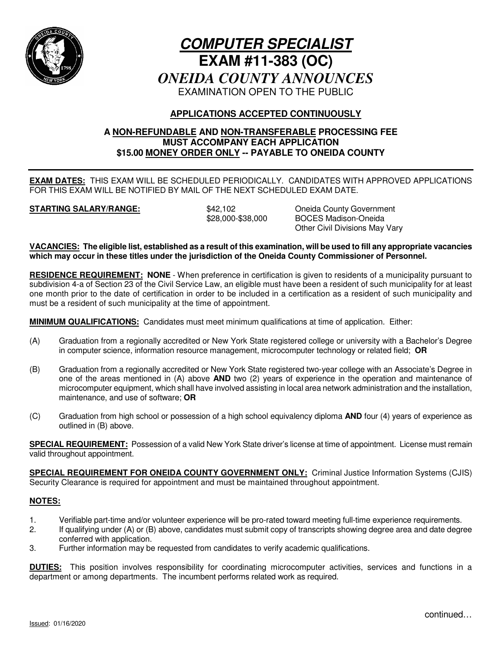

# **COMPUTER SPECIALIST EXAM #11-383 (OC)** *ONEIDA COUNTY ANNOUNCES* EXAMINATION OPEN TO THE PUBLIC

# **APPLICATIONS ACCEPTED CONTINUOUSLY**

## **A NON-REFUNDABLE AND NON-TRANSFERABLE PROCESSING FEE MUST ACCOMPANY EACH APPLICATION \$15.00 MONEY ORDER ONLY -- PAYABLE TO ONEIDA COUNTY**

**EXAM DATES:** THIS EXAM WILL BE SCHEDULED PERIODICALLY. CANDIDATES WITH APPROVED APPLICATIONS FOR THIS EXAM WILL BE NOTIFIED BY MAIL OF THE NEXT SCHEDULED EXAM DATE.

**STARTING SALARY/RANGE:**  $$42,102$  Oneida County Government

 \$28,000-\$38,000 BOCES Madison-Oneida Other Civil Divisions May Vary

**VACANCIES: The eligible list, established as a result of this examination, will be used to fill any appropriate vacancies which may occur in these titles under the jurisdiction of the Oneida County Commissioner of Personnel.**

**RESIDENCE REQUIREMENT: NONE** - When preference in certification is given to residents of a municipality pursuant to subdivision 4-a of Section 23 of the Civil Service Law, an eligible must have been a resident of such municipality for at least one month prior to the date of certification in order to be included in a certification as a resident of such municipality and must be a resident of such municipality at the time of appointment.

**MINIMUM QUALIFICATIONS:** Candidates must meet minimum qualifications at time of application.Either:

- (A) Graduation from a regionally accredited or New York State registered college or university with a Bachelor's Degree in computer science, information resource management, microcomputer technology or related field; **OR**
- (B) Graduation from a regionally accredited or New York State registered two-year college with an Associate's Degree in one of the areas mentioned in (A) above **AND** two (2) years of experience in the operation and maintenance of microcomputer equipment, which shall have involved assisting in local area network administration and the installation, maintenance, and use of software; **OR**
- (C) Graduation from high school or possession of a high school equivalency diploma **AND** four (4) years of experience as outlined in (B) above.

**SPECIAL REQUIREMENT:** Possession of a valid New York State driver's license at time of appointment. License must remain valid throughout appointment.

**SPECIAL REQUIREMENT FOR ONEIDA COUNTY GOVERNMENT ONLY:** Criminal Justice Information Systems (CJIS) Security Clearance is required for appointment and must be maintained throughout appointment.

## **NOTES:**

- 1. Verifiable part-time and/or volunteer experience will be pro-rated toward meeting full-time experience requirements.
- 2. If qualifying under (A) or (B) above, candidates must submit copy of transcripts showing degree area and date degree conferred with application.
- 3. Further information may be requested from candidates to verify academic qualifications.

**DUTIES:** This position involves responsibility for coordinating microcomputer activities, services and functions in a department or among departments. The incumbent performs related work as required.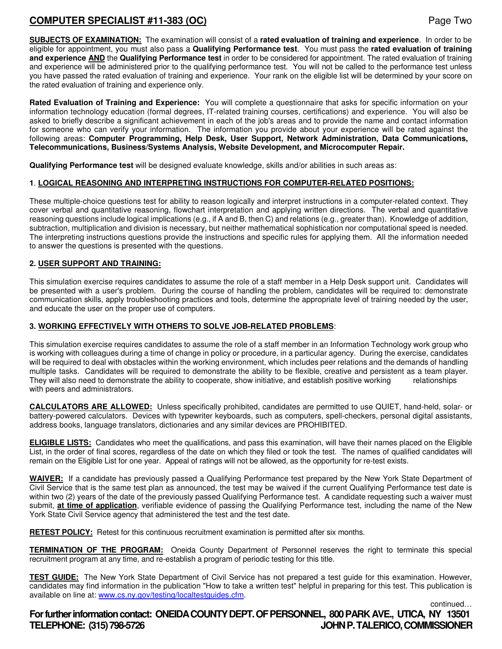# **COMPUTER SPECIALIST #11-383 (OC)** And the state of the state of the state of the state of the state of the state of the state of the state of the state of the state of the state of the state of the state of the state of t

**SUBJECTS OF EXAMINATION:** The examination will consist of a **rated evaluation of training and experience**. In order to be eligible for appointment, you must also pass a **Qualifying Performance test**. You must pass the **rated evaluation of training and experience AND** the **Qualifying Performance test** in order to be considered for appointment. The rated evaluation of training and experience will be administered prior to the qualifying performance test. You will not be called to the performance test unless you have passed the rated evaluation of training and experience. Your rank on the eligible list will be determined by your score on the rated evaluation of training and experience only.

**Rated Evaluation of Training and Experience:** You will complete a questionnaire that asks for specific information on your information technology education (formal degrees, IT-related training courses, certifications) and experience. You will also be asked to briefly describe a significant achievement in each of the job's areas and to provide the name and contact information for someone who can verify your information. The information you provide about your experience will be rated against the following areas: **Computer Programming, Help Desk, User Support, Network Administration, Data Communications, Telecommunications, Business/Systems Analysis, Website Development, and Microcomputer Repair.** 

**Qualifying Performance test** will be designed evaluate knowledge, skills and/or abilities in such areas as:

#### **1**. **LOGICAL REASONING AND INTERPRETING INSTRUCTIONS FOR COMPUTER-RELATED POSITIONS:**

These multiple-choice questions test for ability to reason logically and interpret instructions in a computer-related context. They cover verbal and quantitative reasoning, flowchart interpretation and applying written directions. The verbal and quantitative reasoning questions include logical implications (e.g., if A and B, then C) and relations (e.g., greater than). Knowledge of addition, subtraction, multiplication and division is necessary, but neither mathematical sophistication nor computational speed is needed. The interpreting instructions questions provide the instructions and specific rules for applying them. All the information needed to answer the questions is presented with the questions.

#### **2. USER SUPPORT AND TRAINING:**

This simulation exercise requires candidates to assume the role of a staff member in a Help Desk support unit. Candidates will be presented with a user's problem. During the course of handling the problem, candidates will be required to: demonstrate communication skills, apply troubleshooting practices and tools, determine the appropriate level of training needed by the user, and educate the user on the proper use of computers.

#### **3. WORKING EFFECTIVELY WITH OTHERS TO SOLVE JOB-RELATED PROBLEMS**:

This simulation exercise requires candidates to assume the role of a staff member in an Information Technology work group who is working with colleagues during a time of change in policy or procedure, in a particular agency. During the exercise, candidates will be required to deal with obstacles within the working environment, which includes peer relations and the demands of handling multiple tasks. Candidates will be required to demonstrate the ability to be flexible, creative and persistent as a team player. They will also need to demonstrate the ability to cooperate, show initiative, and establish positive working relationships with peers and administrators.

**CALCULATORS ARE ALLOWED:** Unless specifically prohibited, candidates are permitted to use QUIET, hand-held, solar- or battery-powered calculators. Devices with typewriter keyboards, such as computers, spell-checkers, personal digital assistants, address books, language translators, dictionaries and any similar devices are PROHIBITED.

**ELIGIBLE LISTS:** Candidates who meet the qualifications, and pass this examination, will have their names placed on the Eligible List, in the order of final scores, regardless of the date on which they filed or took the test. The names of qualified candidates will remain on the Eligible List for one year. Appeal of ratings will not be allowed, as the opportunity for re-test exists.

**WAIVER:** If a candidate has previously passed a Qualifying Performance test prepared by the New York State Department of Civil Service that is the same test plan as announced, the test may be waived if the current Qualifying Performance test date is within two (2) years of the date of the previously passed Qualifying Performance test. A candidate requesting such a waiver must submit, **at time of application**, verifiable evidence of passing the Qualifying Performance test, including the name of the New York State Civil Service agency that administered the test and the test date.

**RETEST POLICY:** Retest for this continuous recruitment examination is permitted after six months.

**TERMINATION OF THE PROGRAM:** Oneida County Department of Personnel reserves the right to terminate this special recruitment program at any time, and re-establish a program of periodic testing for this title.

**TEST GUIDE:** The New York State Department of Civil Service has not prepared a test guide for this examination. However, candidates may find information in the publication "How to take a written test" helpful in preparing for this test. This publication is available on line at: www.cs.ny.gov/testing/localtestguides.cfm.

continued…

**For further information contact: ONEIDA COUNTY DEPT. OF PERSONNEL, 800 PARK AVE., UTICA, NY 13501 TELEPHONE: (315) 798-5726 JOHN P. TALERICO, COMMISSIONER**